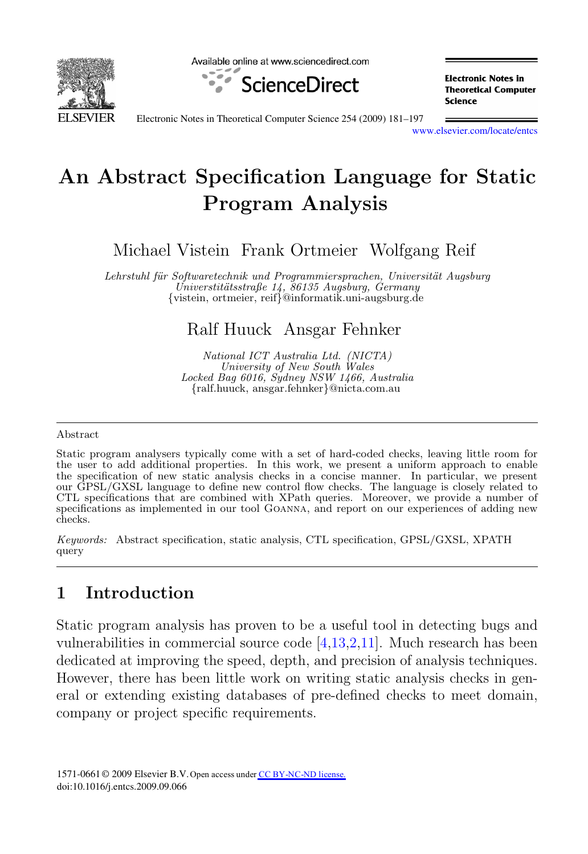

Available online at www.sciencedirect.com



**Electronic Notes in Theoretical Computer** Science

Electronic Notes in Theoretical Computer Science 254 (2009) 181–197

[www.elsevier.com/locate/entcs](http://www.elsevier.com/locate/entcs)

# **An Abstract Specification Language for Static Program Analysis**

## Michael Vistein Frank Ortmeier Wolfgang Reif

Lehrstuhl für Softwaretechnik und Programmiersprachen, Universität Augsburg Universtitätsstraße 14, 86135 Augsburg, Germany {vistein, ortmeier, reif}@informatik.uni-augsburg.de

## Ralf Huuck Ansgar Fehnker

National ICT Australia Ltd. (NICTA) University of New South Wales Locked Bag 6016, Sydney NSW 1466, Australia {ralf.huuck, ansgar.fehnker}@nicta.com.au

#### Abstract

Static program analysers typically come with a set of hard-coded checks, leaving little room for the user to add additional properties. In this work, we present a uniform approach to enable the specification of new static analysis checks in a concise manner. In particular, we present our GPSL/GXSL language to define new control flow checks. The language is closely related to CTL specifications that are combined with XPath queries. Moreover, we provide a number of specifications as implemented in our tool GOANNA, and report on our experiences of adding new checks.

Keywords: Abstract specification, static analysis, CTL specification, GPSL/GXSL, XPATH query

## **1 Introduction**

Static program analysis has proven to be a useful tool in detecting bugs and vulnerabilities in commercial source code [\[4,13,2,11\]](#page-14-0). Much research has been dedicated at improving the speed, depth, and precision of analysis techniques. However, there has been little work on writing static analysis checks in general or extending existing databases of pre-defined checks to meet domain, company or project specific requirements.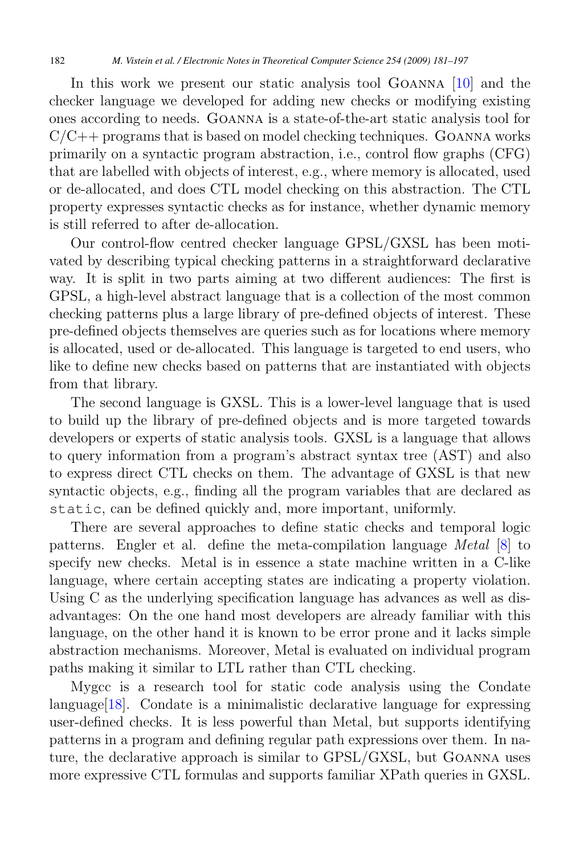In this work we present our static analysis tool GOANNA [\[10\]](#page-14-0) and the checker language we developed for adding new checks or modifying existing ones according to needs. Goanna is a state-of-the-art static analysis tool for  $C/C++$  programs that is based on model checking techniques. GOANNA works primarily on a syntactic program abstraction, i.e., control flow graphs (CFG) that are labelled with objects of interest, e.g., where memory is allocated, used or de-allocated, and does CTL model checking on this abstraction. The CTL property expresses syntactic checks as for instance, whether dynamic memory is still referred to after de-allocation.

Our control-flow centred checker language GPSL/GXSL has been motivated by describing typical checking patterns in a straightforward declarative way. It is split in two parts aiming at two different audiences: The first is GPSL, a high-level abstract language that is a collection of the most common checking patterns plus a large library of pre-defined objects of interest. These pre-defined objects themselves are queries such as for locations where memory is allocated, used or de-allocated. This language is targeted to end users, who like to define new checks based on patterns that are instantiated with objects from that library.

The second language is GXSL. This is a lower-level language that is used to build up the library of pre-defined objects and is more targeted towards developers or experts of static analysis tools. GXSL is a language that allows to query information from a program's abstract syntax tree (AST) and also to express direct CTL checks on them. The advantage of GXSL is that new syntactic objects, e.g., finding all the program variables that are declared as static, can be defined quickly and, more important, uniformly.

There are several approaches to define static checks and temporal logic patterns. Engler et al. define the meta-compilation language Metal [\[8\]](#page-14-0) to specify new checks. Metal is in essence a state machine written in a C-like language, where certain accepting states are indicating a property violation. Using C as the underlying specification language has advances as well as disadvantages: On the one hand most developers are already familiar with this language, on the other hand it is known to be error prone and it lacks simple abstraction mechanisms. Moreover, Metal is evaluated on individual program paths making it similar to LTL rather than CTL checking.

Mygcc is a research tool for static code analysis using the Condate language[\[18\]](#page-14-0). Condate is a minimalistic declarative language for expressing user-defined checks. It is less powerful than Metal, but supports identifying patterns in a program and defining regular path expressions over them. In nature, the declarative approach is similar to GPSL/GXSL, but Goanna uses more expressive CTL formulas and supports familiar XPath queries in GXSL.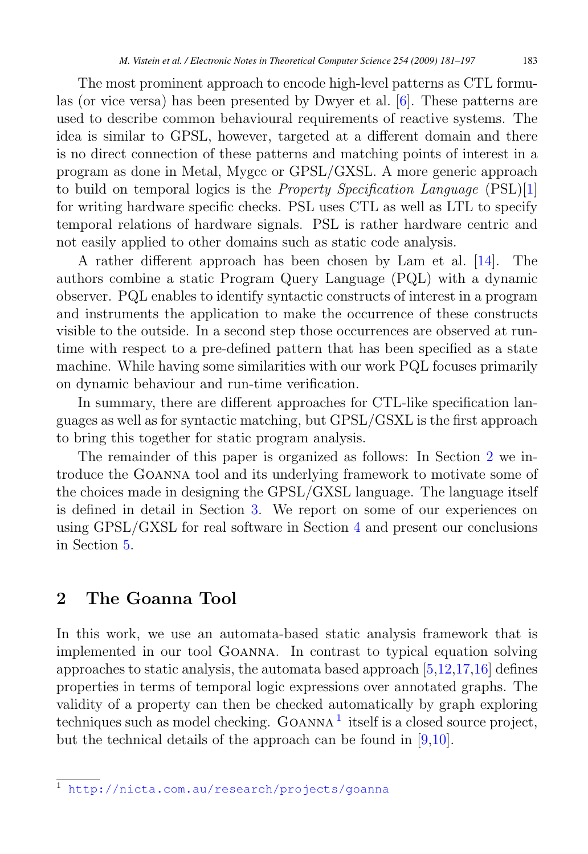<span id="page-2-0"></span>The most prominent approach to encode high-level patterns as CTL formulas (or vice versa) has been presented by Dwyer et al. [\[6\]](#page-14-0). These patterns are used to describe common behavioural requirements of reactive systems. The idea is similar to GPSL, however, targeted at a different domain and there is no direct connection of these patterns and matching points of interest in a program as done in Metal, Mygcc or GPSL/GXSL. A more generic approach to build on temporal logics is the *Property Specification Language* (PSL)[\[1\]](#page-14-0) for writing hardware specific checks. PSL uses CTL as well as LTL to specify temporal relations of hardware signals. PSL is rather hardware centric and not easily applied to other domains such as static code analysis.

A rather different approach has been chosen by Lam et al. [\[14\]](#page-14-0). The authors combine a static Program Query Language (PQL) with a dynamic observer. PQL enables to identify syntactic constructs of interest in a program and instruments the application to make the occurrence of these constructs visible to the outside. In a second step those occurrences are observed at runtime with respect to a pre-defined pattern that has been specified as a state machine. While having some similarities with our work PQL focuses primarily on dynamic behaviour and run-time verification.

In summary, there are different approaches for CTL-like specification languages as well as for syntactic matching, but GPSL/GSXL is the first approach to bring this together for static program analysis.

The remainder of this paper is organized as follows: In Section 2 we introduce the Goanna tool and its underlying framework to motivate some of the choices made in designing the GPSL/GXSL language. The language itself is defined in detail in Section [3.](#page-5-0) We report on some of our experiences on using GPSL/GXSL for real software in Section [4](#page-11-0) and present our conclusions in Section [5.](#page-13-0)

### **2 The Goanna Tool**

In this work, we use an automata-based static analysis framework that is implemented in our tool Goanna. In contrast to typical equation solving approaches to static analysis, the automata based approach [\[5,12,17,16\]](#page-14-0) defines properties in terms of temporal logic expressions over annotated graphs. The validity of a property can then be checked automatically by graph exploring techniques such as model checking.  $GoANNA<sup>1</sup>$  itself is a closed source project, but the technical details of the approach can be found in [\[9,10\]](#page-14-0).

<sup>1</sup> <http://nicta.com.au/research/projects/goanna>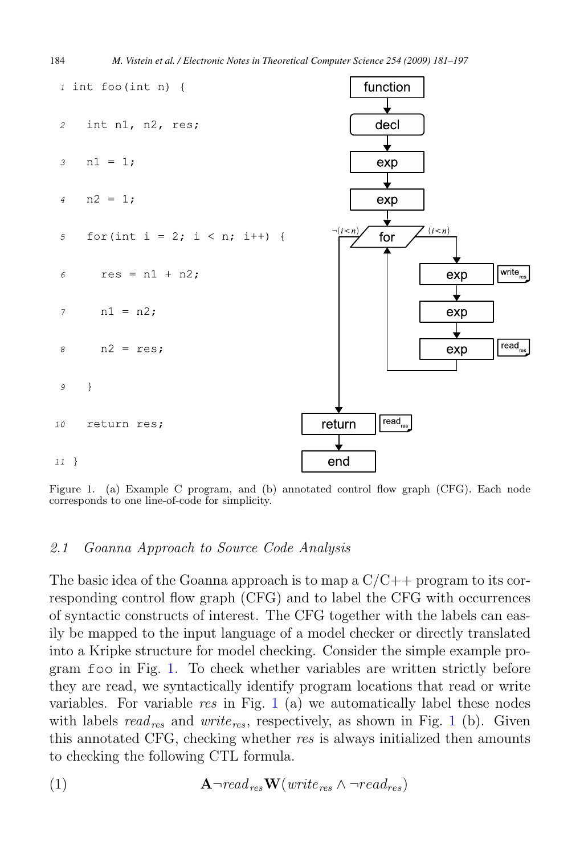

Figure 1. (a) Example C program, and (b) annotated control flow graph (CFG). Each node corresponds to one line-of-code for simplicity.

#### 2.1 Goanna Approach to Source Code Analysis

The basic idea of the Goanna approach is to map a  $C/C++$  program to its corresponding control flow graph (CFG) and to label the CFG with occurrences of syntactic constructs of interest. The CFG together with the labels can easily be mapped to the input language of a model checker or directly translated into a Kripke structure for model checking. Consider the simple example program foo in Fig. 1. To check whether variables are written strictly before they are read, we syntactically identify program locations that read or write variables. For variable res in Fig.  $1$  (a) we automatically label these nodes with labels read<sub>res</sub> and write<sub>res</sub>, respectively, as shown in Fig. 1 (b). Given this annotated CFG, checking whether res is always initialized then amounts to checking the following CTL formula.

$$
\mathbf{A}\neg \text{read}_{\text{res}}\mathbf{W}(\text{write}_{\text{res}} \land \neg \text{read}_{\text{res}})
$$

<span id="page-3-0"></span>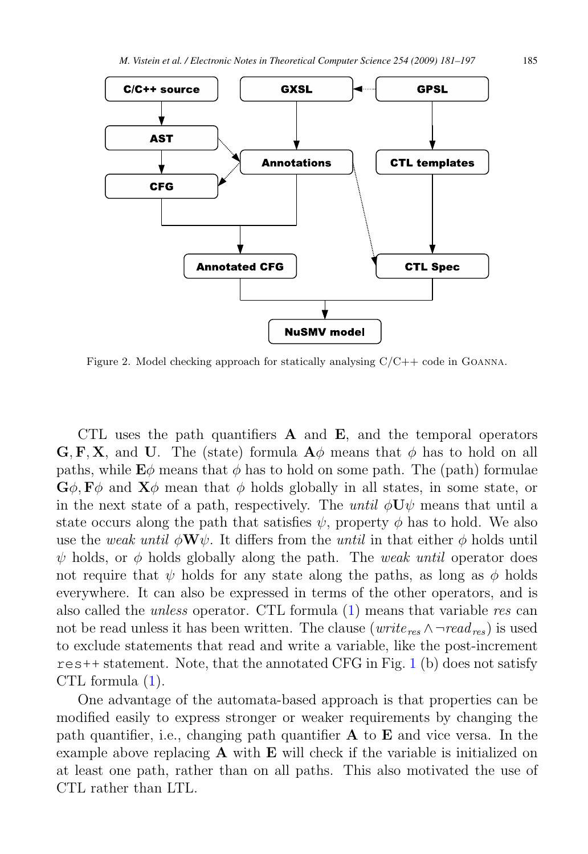<span id="page-4-0"></span>

Figure 2. Model checking approach for statically analysing  $C/C++$  code in GOANNA.

CTL uses the path quantifiers **A** and **E**, and the temporal operators **G**, **F**, **X**, and **U**. The (state) formula  $\mathbf{A}\phi$  means that  $\phi$  has to hold on all paths, while  $\mathbf{E}\phi$  means that  $\phi$  has to hold on some path. The (path) formulae  $\mathbf{G}\phi$ ,  $\mathbf{F}\phi$  and  $\mathbf{X}\phi$  mean that  $\phi$  holds globally in all states, in some state, or in the next state of a path, respectively. The *until*  $\phi \mathbf{U} \psi$  means that until a state occurs along the path that satisfies  $\psi$ , property  $\phi$  has to hold. We also use the weak until  $\phi \mathbf{W} \psi$ . It differs from the until in that either  $\phi$  holds until  $\psi$  holds, or  $\phi$  holds globally along the path. The weak until operator does not require that  $\psi$  holds for any state along the paths, as long as  $\phi$  holds everywhere. It can also be expressed in terms of the other operators, and is also called the unless operator. CTL formula [\(1\)](#page-3-0) means that variable res can not be read unless it has been written. The clause  $(write_{res} \wedge \neg read_{res})$  is used to exclude statements that read and write a variable, like the post-increment res++ statement. Note, that the annotated CFG in Fig. [1](#page-3-0) (b) does not satisfy CTL formula [\(1\)](#page-3-0).

One advantage of the automata-based approach is that properties can be modified easily to express stronger or weaker requirements by changing the path quantifier, i.e., changing path quantifier **A** to **E** and vice versa. In the example above replacing **A** with **E** will check if the variable is initialized on at least one path, rather than on all paths. This also motivated the use of CTL rather than LTL.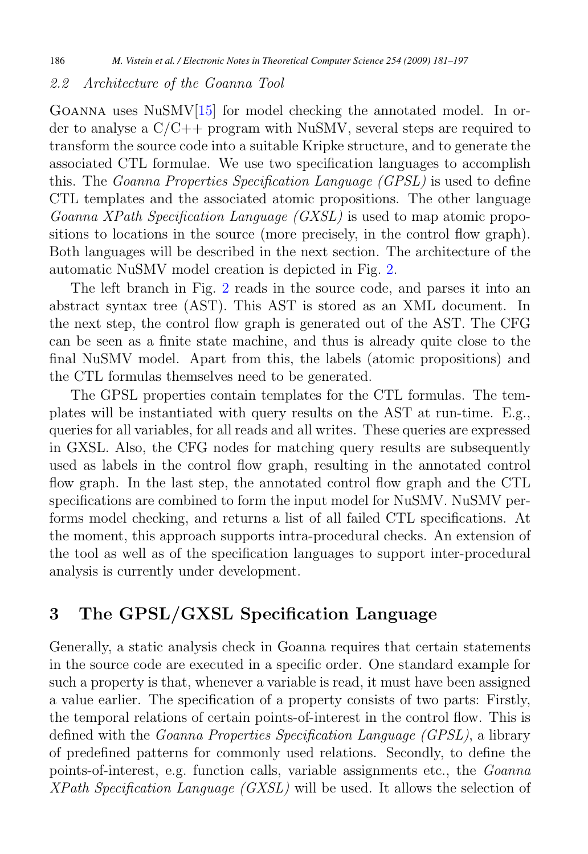#### <span id="page-5-0"></span>2.2 Architecture of the Goanna Tool

Goanna uses NuSMV[\[15\]](#page-14-0) for model checking the annotated model. In order to analyse a  $C/C++$  program with NuSMV, several steps are required to transform the source code into a suitable Kripke structure, and to generate the associated CTL formulae. We use two specification languages to accomplish this. The Goanna Properties Specification Language (GPSL) is used to define CTL templates and the associated atomic propositions. The other language Goanna XPath Specification Language (GXSL) is used to map atomic propositions to locations in the source (more precisely, in the control flow graph). Both languages will be described in the next section. The architecture of the automatic NuSMV model creation is depicted in Fig. [2.](#page-4-0)

The left branch in Fig. [2](#page-4-0) reads in the source code, and parses it into an abstract syntax tree (AST). This AST is stored as an XML document. In the next step, the control flow graph is generated out of the AST. The CFG can be seen as a finite state machine, and thus is already quite close to the final NuSMV model. Apart from this, the labels (atomic propositions) and the CTL formulas themselves need to be generated.

The GPSL properties contain templates for the CTL formulas. The templates will be instantiated with query results on the AST at run-time. E.g., queries for all variables, for all reads and all writes. These queries are expressed in GXSL. Also, the CFG nodes for matching query results are subsequently used as labels in the control flow graph, resulting in the annotated control flow graph. In the last step, the annotated control flow graph and the CTL specifications are combined to form the input model for NuSMV. NuSMV performs model checking, and returns a list of all failed CTL specifications. At the moment, this approach supports intra-procedural checks. An extension of the tool as well as of the specification languages to support inter-procedural analysis is currently under development.

## **3 The GPSL/GXSL Specification Language**

Generally, a static analysis check in Goanna requires that certain statements in the source code are executed in a specific order. One standard example for such a property is that, whenever a variable is read, it must have been assigned a value earlier. The specification of a property consists of two parts: Firstly, the temporal relations of certain points-of-interest in the control flow. This is defined with the Goanna Properties Specification Language (GPSL), a library of predefined patterns for commonly used relations. Secondly, to define the points-of-interest, e.g. function calls, variable assignments etc., the Goanna XPath Specification Language (GXSL) will be used. It allows the selection of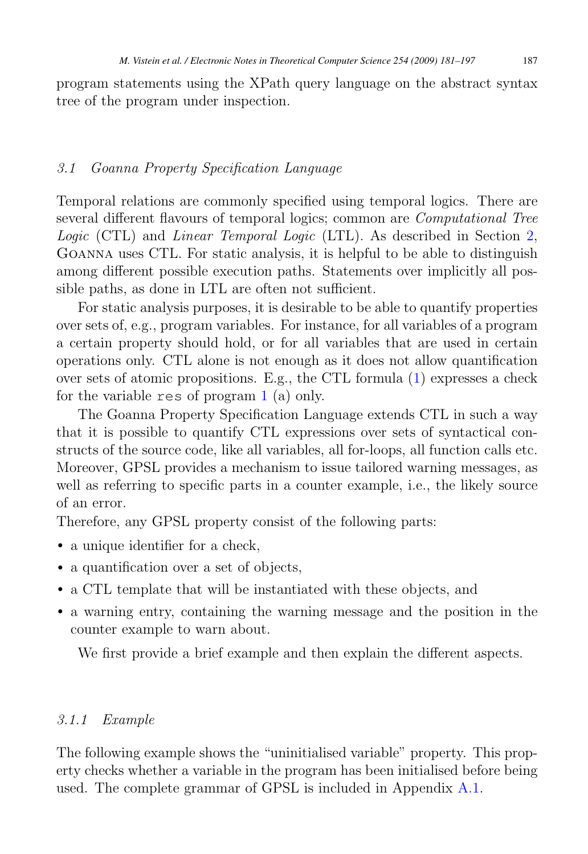<span id="page-6-0"></span>program statements using the XPath query language on the abstract syntax tree of the program under inspection.

#### 3.1 Goanna Property Specification Language

Temporal relations are commonly specified using temporal logics. There are several different flavours of temporal logics; common are Computational Tree Logic (CTL) and Linear Temporal Logic (LTL). As described in Section [2,](#page-2-0) Goanna uses CTL. For static analysis, it is helpful to be able to distinguish among different possible execution paths. Statements over implicitly all possible paths, as done in LTL are often not sufficient.

For static analysis purposes, it is desirable to be able to quantify properties over sets of, e.g., program variables. For instance, for all variables of a program a certain property should hold, or for all variables that are used in certain operations only. CTL alone is not enough as it does not allow quantification over sets of atomic propositions. E.g., the CTL formula [\(1\)](#page-3-0) expresses a check for the variable res of program [1](#page-3-0) (a) only.

The Goanna Property Specification Language extends CTL in such a way that it is possible to quantify CTL expressions over sets of syntactical constructs of the source code, like all variables, all for-loops, all function calls etc. Moreover, GPSL provides a mechanism to issue tailored warning messages, as well as referring to specific parts in a counter example, i.e., the likely source of an error.

Therefore, any GPSL property consist of the following parts:

- a unique identifier for a check,
- a quantification over a set of objects,
- a CTL template that will be instantiated with these objects, and
- a warning entry, containing the warning message and the position in the counter example to warn about.

We first provide a brief example and then explain the different aspects.

#### 3.1.1 Example

The following example shows the "uninitialised variable" property. This property checks whether a variable in the program has been initialised before being used. The complete grammar of GPSL is included in Appendix [A.1.](#page-15-0)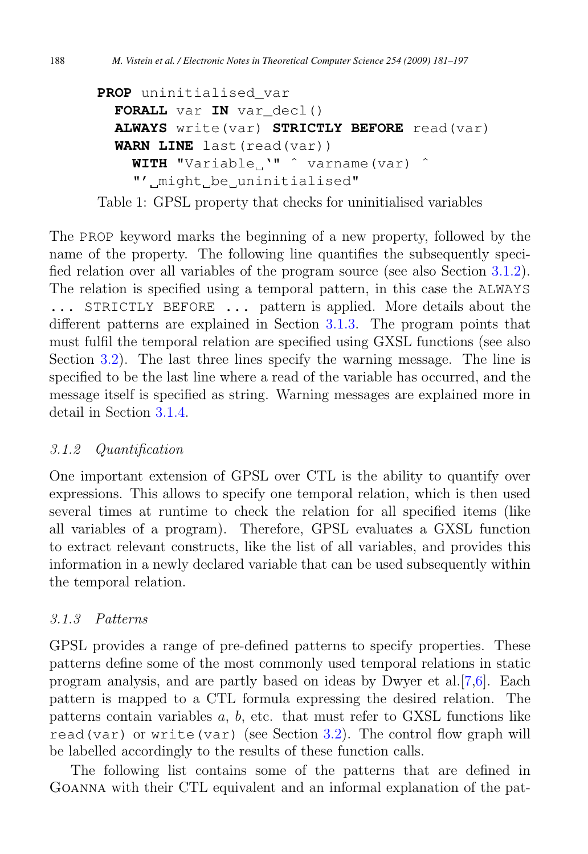```
PROP uninitialised_var
  FORALL var IN var_decl()
  ALWAYS write(var) STRICTLY BEFORE read(var)
  WARN LINE last(read(var))
    WITH "Variable<sub>"</sub>'" ^ varname(var) ^
    "' might be uninitialised"
```
Table 1: GPSL property that checks for uninitialised variables

The PROP keyword marks the beginning of a new property, followed by the name of the property. The following line quantifies the subsequently specified relation over all variables of the program source (see also Section 3.1.2). The relation is specified using a temporal pattern, in this case the ALWAYS ... STRICTLY BEFORE ... pattern is applied. More details about the different patterns are explained in Section 3.1.3. The program points that must fulfil the temporal relation are specified using GXSL functions (see also Section [3.2\)](#page-9-0). The last three lines specify the warning message. The line is specified to be the last line where a read of the variable has occurred, and the message itself is specified as string. Warning messages are explained more in detail in Section [3.1.4.](#page-9-0)

#### 3.1.2 Quantification

One important extension of GPSL over CTL is the ability to quantify over expressions. This allows to specify one temporal relation, which is then used several times at runtime to check the relation for all specified items (like all variables of a program). Therefore, GPSL evaluates a GXSL function to extract relevant constructs, like the list of all variables, and provides this information in a newly declared variable that can be used subsequently within the temporal relation.

#### 3.1.3 Patterns

GPSL provides a range of pre-defined patterns to specify properties. These patterns define some of the most commonly used temporal relations in static program analysis, and are partly based on ideas by Dwyer et al.[\[7,6\]](#page-14-0). Each pattern is mapped to a CTL formula expressing the desired relation. The patterns contain variables  $a, b$ , etc. that must refer to GXSL functions like read(var) or write(var) (see Section [3.2\)](#page-9-0). The control flow graph will be labelled accordingly to the results of these function calls.

The following list contains some of the patterns that are defined in Goanna with their CTL equivalent and an informal explanation of the pat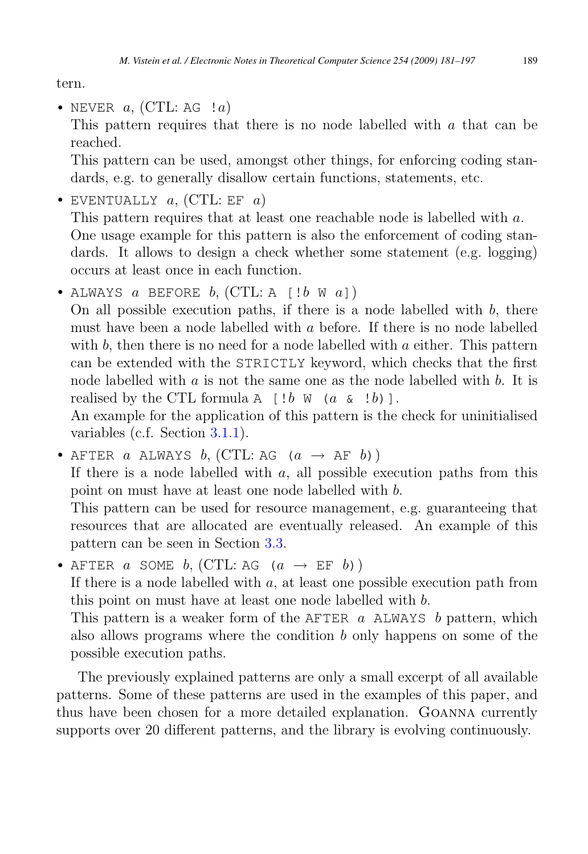tern.

• NEVER  $a$ , (CTL: AG ! $a$ )

This pattern requires that there is no node labelled with a that can be reached.

This pattern can be used, amongst other things, for enforcing coding standards, e.g. to generally disallow certain functions, statements, etc.

```
• EVENTUALLY a, (CTL: EF \ a)This pattern requires that at least one reachable node is labelled with a.
  One usage example for this pattern is also the enforcement of coding stan-
  dards. It allows to design a check whether some statement (e.g. logging)
  occurs at least once in each function.
```
• ALWAYS  $a$  BEFORE  $b$ , (CTL: A  $\lceil !b \le a \rceil$ )

On all possible execution paths, if there is a node labelled with  $b$ , there must have been a node labelled with a before. If there is no node labelled with b, then there is no need for a node labelled with  $a$  either. This pattern can be extended with the STRICTLY keyword, which checks that the first node labelled with  $\alpha$  is not the same one as the node labelled with  $\beta$ . It is realised by the CTL formula A  $\lceil$  !b W (a & !b)].

An example for the application of this pattern is the check for uninitialised variables (c.f. Section [3.1.1\)](#page-6-0).

• AFTER  $a$  ALWAYS  $b$ , (CTL: AG  $(a \rightarrow AF b)$ ) If there is a node labelled with  $a$ , all possible execution paths from this point on must have at least one node labelled with b. This pattern can be used for resource management, e.g. guaranteeing that resources that are allocated are eventually released. An example of this pattern can be seen in Section [3.3.](#page-10-0)

• AFTER  $a$  SOME  $b$ , (CTL: AG  $(a \rightarrow EF b)$ ) If there is a node labelled with  $a$ , at least one possible execution path from this point on must have at least one node labelled with b. This pattern is a weaker form of the AFTER  $a$  ALWAYS  $b$  pattern, which also allows programs where the condition b only happens on some of the possible execution paths.

The previously explained patterns are only a small excerpt of all available patterns. Some of these patterns are used in the examples of this paper, and thus have been chosen for a more detailed explanation. Goanna currently supports over 20 different patterns, and the library is evolving continuously.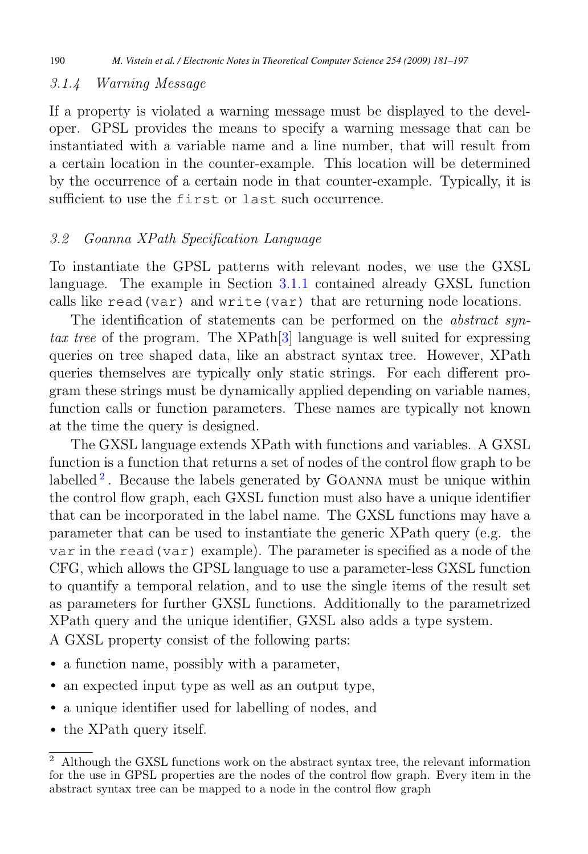#### <span id="page-9-0"></span>3.1.4 Warning Message

If a property is violated a warning message must be displayed to the developer. GPSL provides the means to specify a warning message that can be instantiated with a variable name and a line number, that will result from a certain location in the counter-example. This location will be determined by the occurrence of a certain node in that counter-example. Typically, it is sufficient to use the first or last such occurrence.

#### 3.2 Goanna XPath Specification Language

To instantiate the GPSL patterns with relevant nodes, we use the GXSL language. The example in Section [3.1.1](#page-6-0) contained already GXSL function calls like read(var) and write(var) that are returning node locations.

The identification of statements can be performed on the *abstract syn*tax tree of the program. The XPath[\[3\]](#page-14-0) language is well suited for expressing queries on tree shaped data, like an abstract syntax tree. However, XPath queries themselves are typically only static strings. For each different program these strings must be dynamically applied depending on variable names, function calls or function parameters. These names are typically not known at the time the query is designed.

The GXSL language extends XPath with functions and variables. A GXSL function is a function that returns a set of nodes of the control flow graph to be labelled<sup>2</sup>. Because the labels generated by GOANNA must be unique within the control flow graph, each GXSL function must also have a unique identifier that can be incorporated in the label name. The GXSL functions may have a parameter that can be used to instantiate the generic XPath query (e.g. the var in the read(var) example). The parameter is specified as a node of the CFG, which allows the GPSL language to use a parameter-less GXSL function to quantify a temporal relation, and to use the single items of the result set as parameters for further GXSL functions. Additionally to the parametrized XPath query and the unique identifier, GXSL also adds a type system. A GXSL property consist of the following parts:

- a function name, possibly with a parameter,
- an expected input type as well as an output type,
- a unique identifier used for labelling of nodes, and
- the XPath query itself.

<sup>&</sup>lt;sup>2</sup> Although the GXSL functions work on the abstract syntax tree, the relevant information for the use in GPSL properties are the nodes of the control flow graph. Every item in the abstract syntax tree can be mapped to a node in the control flow graph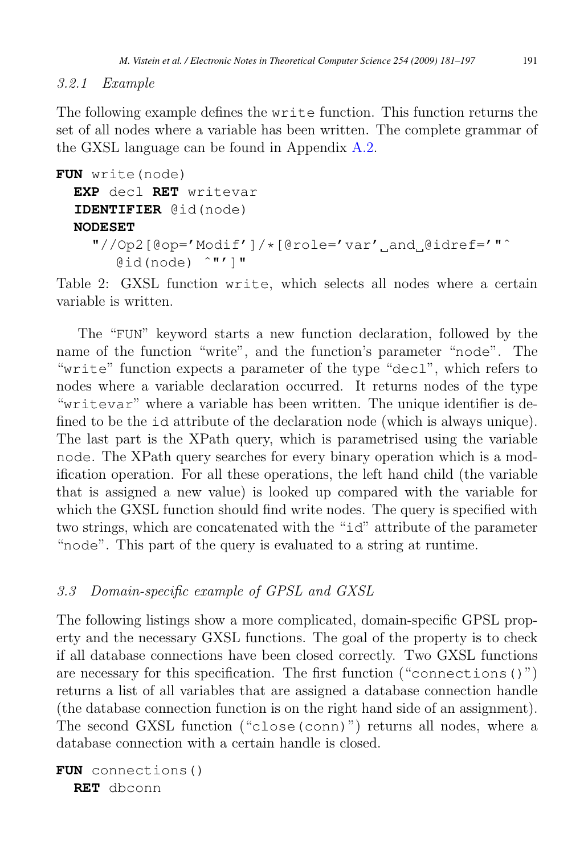### <span id="page-10-0"></span>3.2.1 Example

The following example defines the write function. This function returns the set of all nodes where a variable has been written. The complete grammar of the GXSL language can be found in Appendix [A.2.](#page-16-0)

```
FUN write(node)
  EXP decl RET writevar
  IDENTIFIER @id(node)
  NODESET
    "//Op2[@op='Modif']/*[@role='var' and @idref='"^
       @id(node) ˆ"']"
```
Table 2: GXSL function write, which selects all nodes where a certain variable is written.

The "FUN" keyword starts a new function declaration, followed by the name of the function "write", and the function's parameter "node". The "write" function expects a parameter of the type "decl", which refers to nodes where a variable declaration occurred. It returns nodes of the type "writevar" where a variable has been written. The unique identifier is defined to be the id attribute of the declaration node (which is always unique). The last part is the XPath query, which is parametrised using the variable node. The XPath query searches for every binary operation which is a modification operation. For all these operations, the left hand child (the variable that is assigned a new value) is looked up compared with the variable for which the GXSL function should find write nodes. The query is specified with two strings, which are concatenated with the "id" attribute of the parameter "node". This part of the query is evaluated to a string at runtime.

## 3.3 Domain-specific example of GPSL and GXSL

The following listings show a more complicated, domain-specific GPSL property and the necessary GXSL functions. The goal of the property is to check if all database connections have been closed correctly. Two GXSL functions are necessary for this specification. The first function ("connections()") returns a list of all variables that are assigned a database connection handle (the database connection function is on the right hand side of an assignment). The second GXSL function ("close(conn)") returns all nodes, where a database connection with a certain handle is closed.

```
FUN connections()
  RET dbconn
```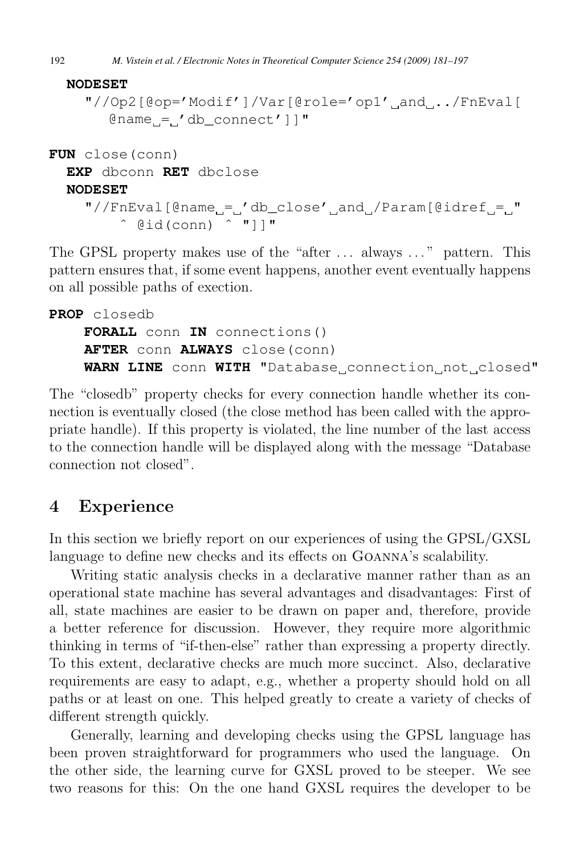<span id="page-11-0"></span>192 *M. Vistein et al. / Electronic Notes in Theoretical Computer Science 254 (2009) 181–197*

```
NODESET
```

```
"//Op2[@op='Modif']/Var[@role='op1' and ../FnEval[
  @name = 'db connect']
```

```
FUN close(conn)
  EXP dbconn RET dbclose
  NODESET
    "//FnEval[@name_=_'db_close'_and_/Param[@idref_=_"
         \hat{\ } @id(conn) \hat{\ } "]]"
```
The GPSL property makes use of the "after ... always ..." pattern. This pattern ensures that, if some event happens, another event eventually happens on all possible paths of exection.

```
PROP closedb
```

```
FORALL conn IN connections()
AFTER conn ALWAYS close(conn)
WARN LINE conn WITH "Database connection not closed"
```
The "closedb" property checks for every connection handle whether its connection is eventually closed (the close method has been called with the appropriate handle). If this property is violated, the line number of the last access to the connection handle will be displayed along with the message "Database connection not closed".

## **4 Experience**

In this section we briefly report on our experiences of using the GPSL/GXSL language to define new checks and its effects on Goanna's scalability.

Writing static analysis checks in a declarative manner rather than as an operational state machine has several advantages and disadvantages: First of all, state machines are easier to be drawn on paper and, therefore, provide a better reference for discussion. However, they require more algorithmic thinking in terms of "if-then-else" rather than expressing a property directly. To this extent, declarative checks are much more succinct. Also, declarative requirements are easy to adapt, e.g., whether a property should hold on all paths or at least on one. This helped greatly to create a variety of checks of different strength quickly.

Generally, learning and developing checks using the GPSL language has been proven straightforward for programmers who used the language. On the other side, the learning curve for GXSL proved to be steeper. We see two reasons for this: On the one hand GXSL requires the developer to be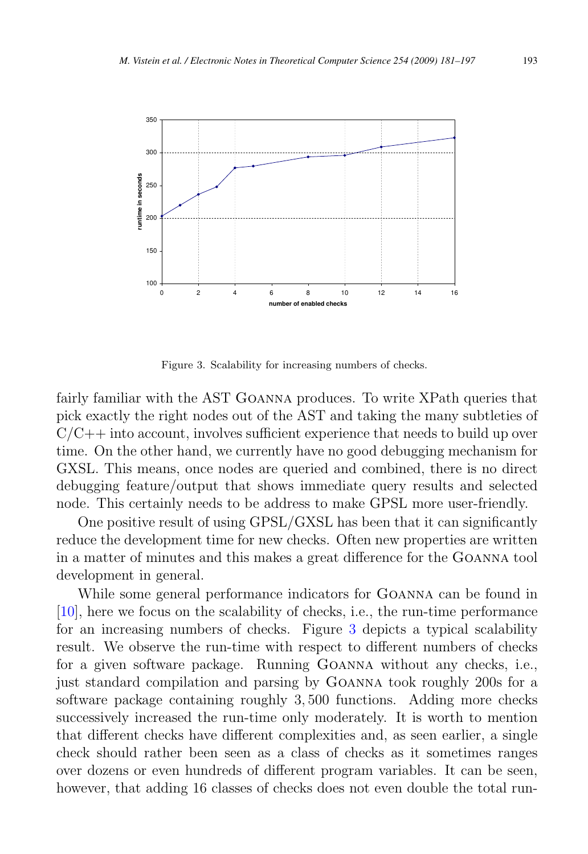

Figure 3. Scalability for increasing numbers of checks.

fairly familiar with the AST Goanna produces. To write XPath queries that pick exactly the right nodes out of the AST and taking the many subtleties of  $C/C++$  into account, involves sufficient experience that needs to build up over time. On the other hand, we currently have no good debugging mechanism for GXSL. This means, once nodes are queried and combined, there is no direct debugging feature/output that shows immediate query results and selected node. This certainly needs to be address to make GPSL more user-friendly.

One positive result of using GPSL/GXSL has been that it can significantly reduce the development time for new checks. Often new properties are written in a matter of minutes and this makes a great difference for the Goanna tool development in general.

While some general performance indicators for Goanna can be found in [\[10\]](#page-14-0), here we focus on the scalability of checks, i.e., the run-time performance for an increasing numbers of checks. Figure 3 depicts a typical scalability result. We observe the run-time with respect to different numbers of checks for a given software package. Running Goanna without any checks, i.e., just standard compilation and parsing by Goanna took roughly 200s for a software package containing roughly 3, 500 functions. Adding more checks successively increased the run-time only moderately. It is worth to mention that different checks have different complexities and, as seen earlier, a single check should rather been seen as a class of checks as it sometimes ranges over dozens or even hundreds of different program variables. It can be seen, however, that adding 16 classes of checks does not even double the total run-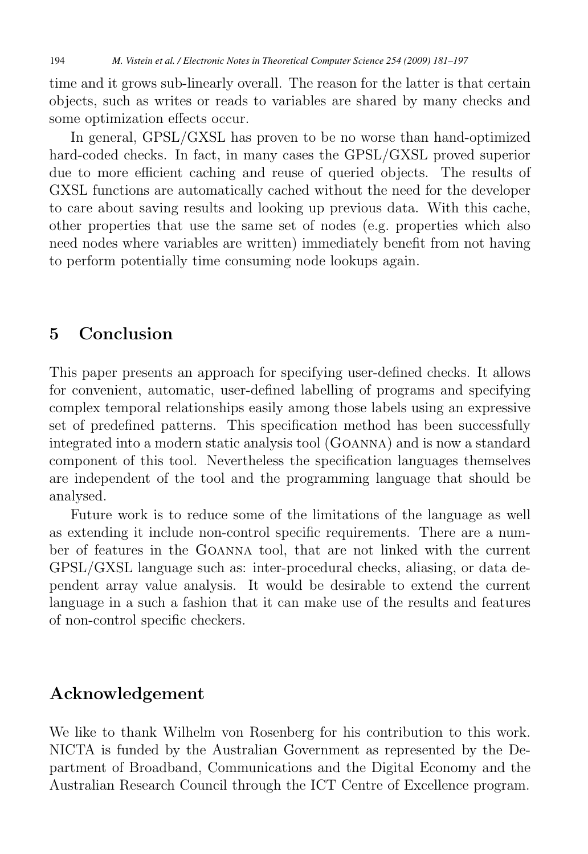<span id="page-13-0"></span>

time and it grows sub-linearly overall. The reason for the latter is that certain objects, such as writes or reads to variables are shared by many checks and some optimization effects occur.

In general, GPSL/GXSL has proven to be no worse than hand-optimized hard-coded checks. In fact, in many cases the GPSL/GXSL proved superior due to more efficient caching and reuse of queried objects. The results of GXSL functions are automatically cached without the need for the developer to care about saving results and looking up previous data. With this cache, other properties that use the same set of nodes (e.g. properties which also need nodes where variables are written) immediately benefit from not having to perform potentially time consuming node lookups again.

### **5 Conclusion**

This paper presents an approach for specifying user-defined checks. It allows for convenient, automatic, user-defined labelling of programs and specifying complex temporal relationships easily among those labels using an expressive set of predefined patterns. This specification method has been successfully integrated into a modern static analysis tool (Goanna) and is now a standard component of this tool. Nevertheless the specification languages themselves are independent of the tool and the programming language that should be analysed.

Future work is to reduce some of the limitations of the language as well as extending it include non-control specific requirements. There are a number of features in the Goanna tool, that are not linked with the current GPSL/GXSL language such as: inter-procedural checks, aliasing, or data dependent array value analysis. It would be desirable to extend the current language in a such a fashion that it can make use of the results and features of non-control specific checkers.

### **Acknowledgement**

We like to thank Wilhelm von Rosenberg for his contribution to this work. NICTA is funded by the Australian Government as represented by the Department of Broadband, Communications and the Digital Economy and the Australian Research Council through the ICT Centre of Excellence program.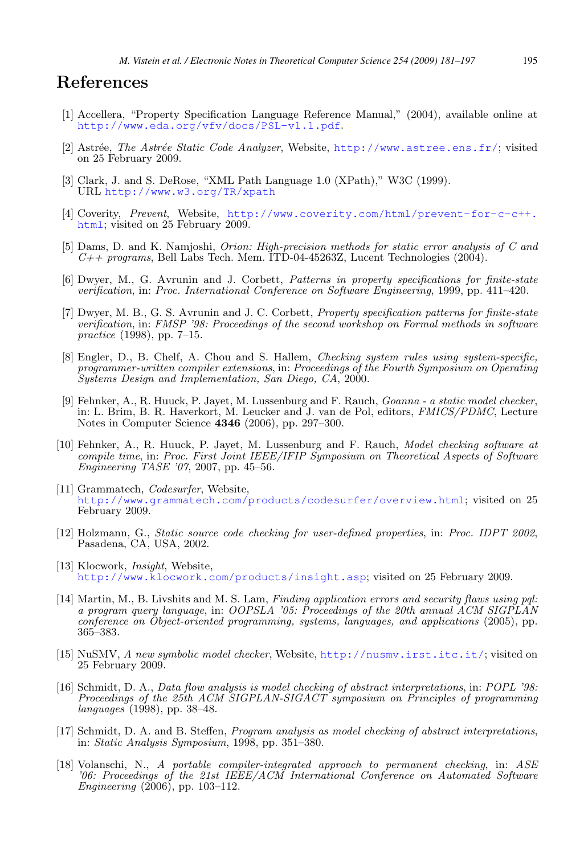## <span id="page-14-0"></span>**References**

- [1] Accellera, "Property Specification Language Reference Manual," (2004), available online at <http://www.eda.org/vfv/docs/PSL-v1.1.pdf>.
- [2] Astrée, The Astrée Static Code Analyzer, Website, <http://www.astree.ens.fr/>; visited on 25 February 2009.
- [3] Clark, J. and S. DeRose, "XML Path Language 1.0 (XPath)," W3C (1999). URL <http://www.w3.org/TR/xpath>
- [4] Coverity, Prevent, Website, [http://www.coverity.com/html/prevent-for-c-c++.](http://www.coverity.com/html/prevent-for-c-c++.html) [html](http://www.coverity.com/html/prevent-for-c-c++.html); visited on 25 February 2009.
- [5] Dams, D. and K. Namjoshi, Orion: High-precision methods for static error analysis of C and  $C_{++}$  programs, Bell Labs Tech. Mem. ITD-04-45263Z, Lucent Technologies (2004).
- [6] Dwyer, M., G. Avrunin and J. Corbett, Patterns in property specifications for finite-state verification, in: Proc. International Conference on Software Engineering, 1999, pp. 411–420.
- [7] Dwyer, M. B., G. S. Avrunin and J. C. Corbett, Property specification patterns for finite-state verification, in: FMSP '98: Proceedings of the second workshop on Formal methods in software practice (1998), pp. 7–15.
- [8] Engler, D., B. Chelf, A. Chou and S. Hallem, Checking system rules using system-specific, programmer-written compiler extensions, in: Proceedings of the Fourth Symposium on Operating Systems Design and Implementation, San Diego, CA, 2000.
- [9] Fehnker, A., R. Huuck, P. Jayet, M. Lussenburg and F. Rauch, Goanna a static model checker, in: L. Brim, B. R. Haverkort, M. Leucker and J. van de Pol, editors, FMICS/PDMC, Lecture Notes in Computer Science **4346** (2006), pp. 297–300.
- [10] Fehnker, A., R. Huuck, P. Jayet, M. Lussenburg and F. Rauch, Model checking software at compile time, in: Proc. First Joint IEEE/IFIP Symposium on Theoretical Aspects of Software Engineering TASE '07, 2007, pp. 45–56.
- [11] Grammatech, *Codesurfer*, Website, <http://www.grammatech.com/products/codesurfer/overview.html>; visited on 25 February 2009.
- [12] Holzmann, G., Static source code checking for user-defined properties, in: Proc. IDPT 2002, Pasadena, CA, USA, 2002.
- [13] Klocwork, *Insight*, Website, <http://www.klocwork.com/products/insight.asp>; visited on 25 February 2009.
- [14] Martin, M., B. Livshits and M. S. Lam, Finding application errors and security flaws using pql: a program query language, in: OOPSLA '05: Proceedings of the 20th annual ACM SIGPLAN conference on Object-oriented programming, systems, languages, and applications (2005), pp. 365–383.
- [15] NuSMV, A new symbolic model checker, Website, <http://nusmv.irst.itc.it/>; visited on 25 February 2009.
- [16] Schmidt, D. A., Data flow analysis is model checking of abstract interpretations, in: POPL '98: Proceedings of the 25th ACM SIGPLAN-SIGACT symposium on Principles of programming languages (1998), pp. 38–48.
- [17] Schmidt, D. A. and B. Steffen, Program analysis as model checking of abstract interpretations, in: Static Analysis Symposium, 1998, pp. 351–380.
- [18] Volanschi, N., A portable compiler-integrated approach to permanent checking, in: ASE '06: Proceedings of the 21st IEEE/ACM International Conference on Automated Software Engineering (2006), pp. 103–112.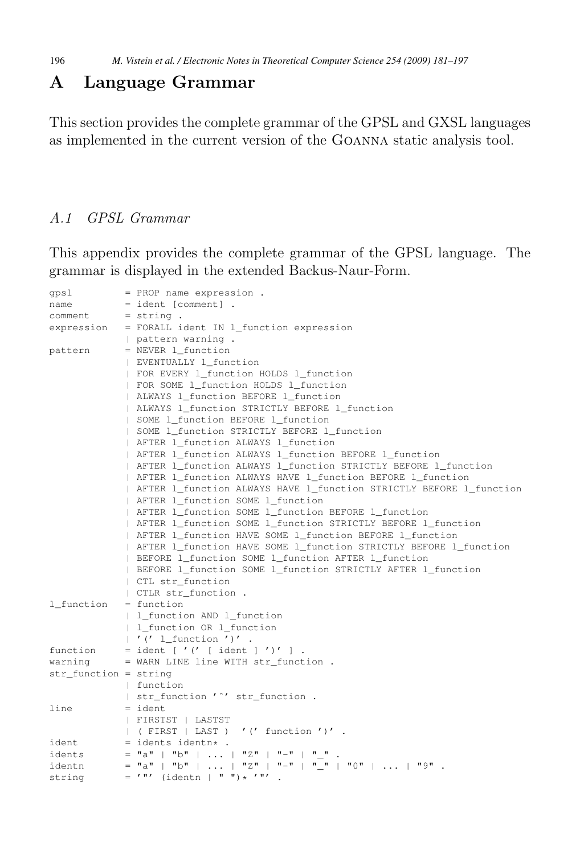## <span id="page-15-0"></span>**A Language Grammar**

This section provides the complete grammar of the GPSL and GXSL languages as implemented in the current version of the Goanna static analysis tool.

### A.1 GPSL Grammar

This appendix provides the complete grammar of the GPSL language. The grammar is displayed in the extended Backus-Naur-Form.

```
gpsl = PROP name expression .
name = ident [comment] .
comment = string .expression = FORALL ident IN l function expression
            | pattern warning .
pattern = NEVER 1 function
            | EVENTUALLY l_function
            | FOR EVERY l_function HOLDS l_function
            | FOR SOME l_function HOLDS l_function
            | ALWAYS l_function BEFORE l_function
             | ALWAYS l_function STRICTLY BEFORE l_function
            | SOME l_function BEFORE l_function
            | SOME l_function STRICTLY BEFORE l_function
             | AFTER l_function ALWAYS l_function
             | AFTER l_function ALWAYS l_function BEFORE l_function
            | AFTER l_function ALWAYS l_function STRICTLY BEFORE l_function
            | AFTER l_function ALWAYS HAVE l_function BEFORE l_function
            | AFTER l_function ALWAYS HAVE l_function STRICTLY BEFORE l_function
            | AFTER l_function SOME l_function
            | AFTER l_function SOME l_function BEFORE l_function
            | AFTER l_function SOME l_function STRICTLY BEFORE l_function
            | AFTER l_function HAVE SOME l_function BEFORE l_function
            | AFTER l_function HAVE SOME l_function STRICTLY BEFORE l_function
            | BEFORE l_function SOME l_function AFTER l_function
            | BEFORE l_function SOME l_function STRICTLY AFTER l_function
            | CTL str_function
            | CTLR str_function .
l_function = function
            | l_function AND l_function
            | l_function OR l_function
            | '(' l_function ')' .
function = ident [ '(' [ ident ] ')' ].
warning = WARN LINE line WITH str_function .
str_function = string
            | function
            | str_function 'ˆ' str_function .
line = ident
            | FIRSTST | LASTST
            | ( FIRST | LAST ) '(' function ')' .
ident = idents identn*.
idents = "a" | "b" | ... | "Z" | "-" | "_"
identn = "a" | "b" | ... | "Z" | "-" | "\overline{ }" | "0" | ... | "9" .
string = ' \cdot " ' (identn | " ")* '"'.
```